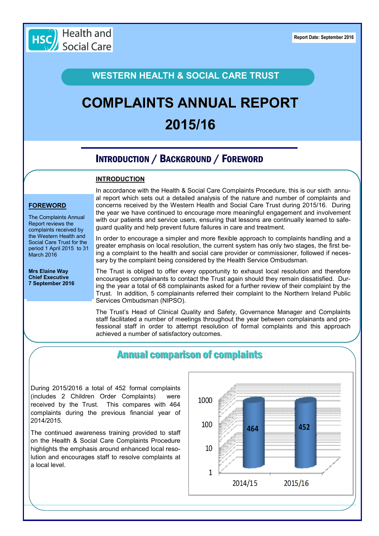

#### **WESTERN HEALTH & SOCIAL CARE TRUST**

# **COMPLAINTS ANNUAL REPORT 2015/16**

## INTRODUCTION / BACKGROUND / FOREWORD

#### **INTRODUCTION**

#### **FOREWORD**

The Complaints Annual Report reviews the complaints received by the Western Health and Social Care Trust for the period 1 April 2015 to 31 March 2016

**Mrs Elaine Way Chief Executive 7 September 2016** In accordance with the Health & Social Care Complaints Procedure, this is our sixth annual report which sets out a detailed analysis of the nature and number of complaints and concerns received by the Western Health and Social Care Trust during 2015/16. During the year we have continued to encourage more meaningful engagement and involvement with our patients and service users, ensuring that lessons are continually learned to safeguard quality and help prevent future failures in care and treatment.

In order to encourage a simpler and more flexible approach to complaints handling and a greater emphasis on local resolution, the current system has only two stages, the first being a complaint to the health and social care provider or commissioner, followed if necessary by the complaint being considered by the Health Service Ombudsman.

The Trust is obliged to offer every opportunity to exhaust local resolution and therefore encourages complainants to contact the Trust again should they remain dissatisfied. During the year a total of 68 complainants asked for a further review of their complaint by the Trust. In addition, 5 complainants referred their complaint to the Northern Ireland Public Services Ombudsman (NIPSO).

The Trust's Head of Clinical Quality and Safety, Governance Manager and Complaints staff facilitated a number of meetings throughout the year between complainants and professional staff in order to attempt resolution of formal complaints and this approach achieved a number of satisfactory outcomes.

### Annual comparison of complaints

During 2015/2016 a total of 452 formal complaints (includes 2 Children Order Complaints) were received by the Trust. This compares with 464 complaints during the previous financial year of 2014/2015.

The continued awareness training provided to staff on the Health & Social Care Complaints Procedure highlights the emphasis around enhanced local resolution and encourages staff to resolve complaints at a local level.

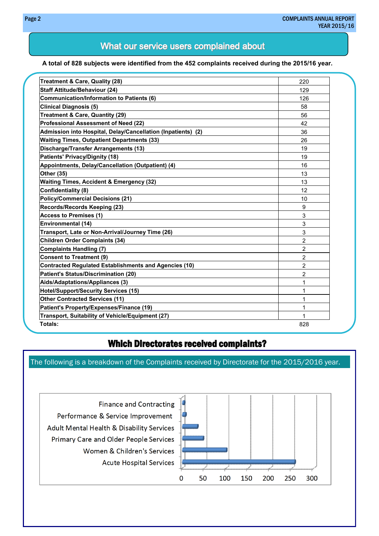#### What our service users complained about

#### **A total of 828 subjects were identified from the 452 complaints received during the 2015/16 year.**

| Treatment & Care, Quality (28)                               | 220 |
|--------------------------------------------------------------|-----|
| <b>Staff Attitude/Behaviour (24)</b>                         | 129 |
| Communication/Information to Patients (6)                    | 126 |
| <b>Clinical Diagnosis (5)</b>                                | 58  |
| <b>Treatment &amp; Care, Quantity (29)</b>                   | 56  |
| Professional Assessment of Need (22)                         | 42  |
| Admission into Hospital, Delay/Cancellation (Inpatients) (2) | 36  |
| <b>Waiting Times, Outpatient Departments (33)</b>            | 26  |
| <b>Discharge/Transfer Arrangements (13)</b>                  | 19  |
| <b>Patients' Privacy/Dignity (18)</b>                        | 19  |
| Appointments, Delay/Cancellation (Outpatient) (4)            | 16  |
| <b>Other (35)</b>                                            | 13  |
| <b>Waiting Times, Accident &amp; Emergency (32)</b>          | 13  |
| <b>Confidentiality (8)</b>                                   | 12  |
| <b>Policy/Commercial Decisions (21)</b>                      | 10  |
| Records/Records Keeping (23)                                 | 9   |
| <b>Access to Premises (1)</b>                                | 3   |
| <b>Environmental (14)</b>                                    | 3   |
| Transport, Late or Non-Arrival/Journey Time (26)             | 3   |
| <b>Children Order Complaints (34)</b>                        | 2   |
| <b>Complaints Handling (7)</b>                               | 2   |
| <b>Consent to Treatment (9)</b>                              | 2   |
| <b>Contracted Regulated Establishments and Agencies (10)</b> | 2   |
| <b>Patient's Status/Discrimination (20)</b>                  | 2   |
| Aids/Adaptations/Appliances (3)                              | 1   |
| <b>Hotel/Support/Security Services (15)</b>                  | 1   |
| <b>Other Contracted Services (11)</b>                        | 1   |
| Patient's Property/Expenses/Finance (19)                     | 1   |
| Transport, Suitability of Vehicle/Equipment (27)             | 1   |
| Totals:                                                      | 828 |

#### Which Directorates received complaints?

The following is a breakdown of the Complaints received by Directorate for the 2015/2016 year.

**Finance and Contracting** Performance & Service Improvement Adult Mental Health & Disability Services Primary Care and Older People Services Women & Children's Services **Acute Hospital Services** 

![](_page_1_Figure_7.jpeg)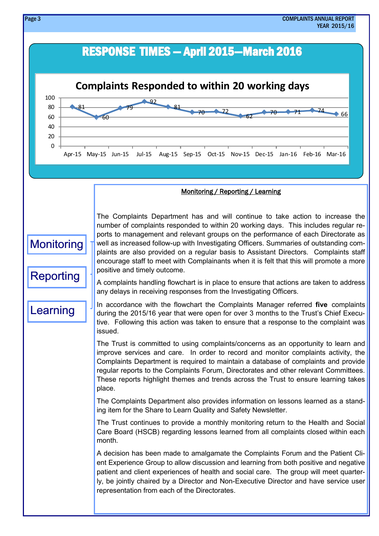![](_page_2_Figure_0.jpeg)